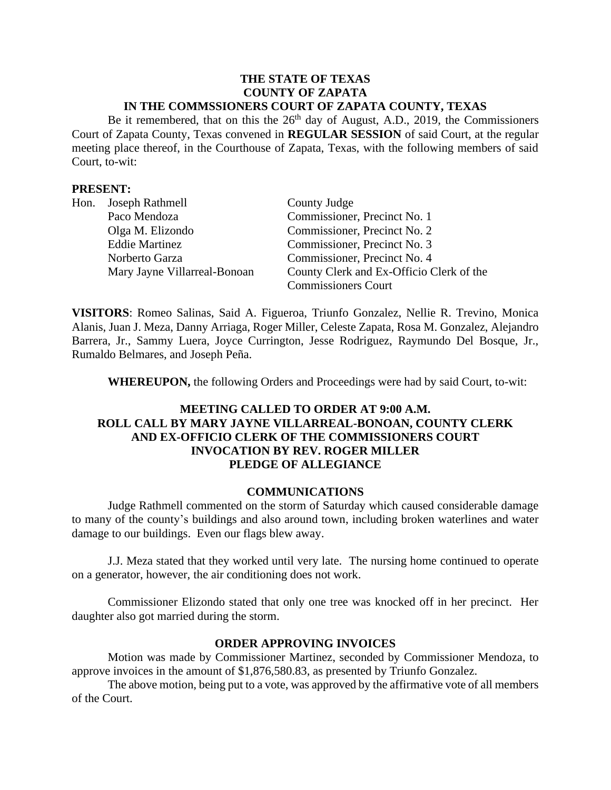#### **THE STATE OF TEXAS COUNTY OF ZAPATA IN THE COMMSSIONERS COURT OF ZAPATA COUNTY, TEXAS**

Be it remembered, that on this the  $26<sup>th</sup>$  day of August, A.D., 2019, the Commissioners Court of Zapata County, Texas convened in **REGULAR SESSION** of said Court, at the regular meeting place thereof, in the Courthouse of Zapata, Texas, with the following members of said Court, to-wit:

### **PRESENT:**

| Hon. Joseph Rathmell         | County Judge                             |
|------------------------------|------------------------------------------|
| Paco Mendoza                 | Commissioner, Precinct No. 1             |
| Olga M. Elizondo             | Commissioner, Precinct No. 2             |
| <b>Eddie Martinez</b>        | Commissioner, Precinct No. 3             |
| Norberto Garza               | Commissioner, Precinct No. 4             |
| Mary Jayne Villarreal-Bonoan | County Clerk and Ex-Officio Clerk of the |
|                              | <b>Commissioners Court</b>               |

**VISITORS**: Romeo Salinas, Said A. Figueroa, Triunfo Gonzalez, Nellie R. Trevino, Monica Alanis, Juan J. Meza, Danny Arriaga, Roger Miller, Celeste Zapata, Rosa M. Gonzalez, Alejandro Barrera, Jr., Sammy Luera, Joyce Currington, Jesse Rodriguez, Raymundo Del Bosque, Jr., Rumaldo Belmares, and Joseph Peña.

**WHEREUPON,** the following Orders and Proceedings were had by said Court, to-wit:

# **MEETING CALLED TO ORDER AT 9:00 A.M. ROLL CALL BY MARY JAYNE VILLARREAL-BONOAN, COUNTY CLERK AND EX-OFFICIO CLERK OF THE COMMISSIONERS COURT INVOCATION BY REV. ROGER MILLER PLEDGE OF ALLEGIANCE**

#### **COMMUNICATIONS**

Judge Rathmell commented on the storm of Saturday which caused considerable damage to many of the county's buildings and also around town, including broken waterlines and water damage to our buildings. Even our flags blew away.

J.J. Meza stated that they worked until very late. The nursing home continued to operate on a generator, however, the air conditioning does not work.

Commissioner Elizondo stated that only one tree was knocked off in her precinct. Her daughter also got married during the storm.

### **ORDER APPROVING INVOICES**

Motion was made by Commissioner Martinez, seconded by Commissioner Mendoza, to approve invoices in the amount of \$1,876,580.83, as presented by Triunfo Gonzalez.

The above motion, being put to a vote, was approved by the affirmative vote of all members of the Court.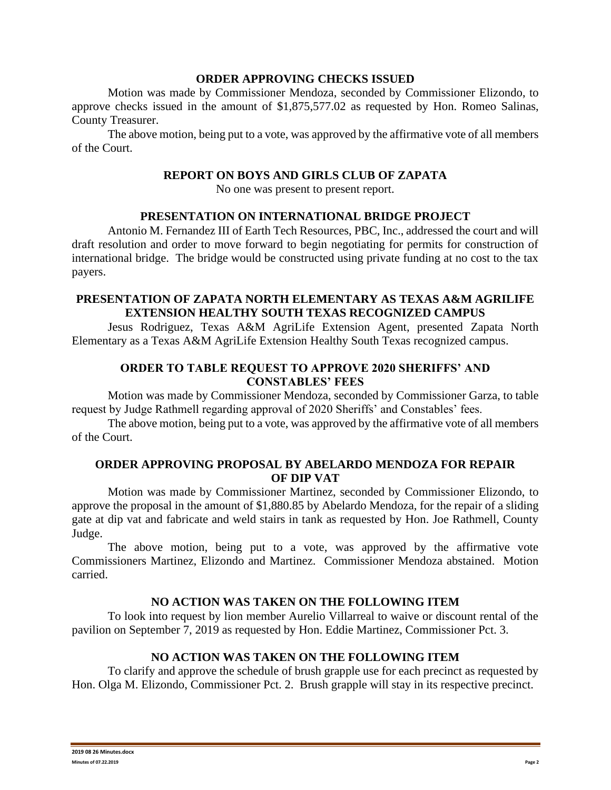#### **ORDER APPROVING CHECKS ISSUED**

Motion was made by Commissioner Mendoza, seconded by Commissioner Elizondo, to approve checks issued in the amount of \$1,875,577.02 as requested by Hon. Romeo Salinas, County Treasurer.

The above motion, being put to a vote, was approved by the affirmative vote of all members of the Court.

## **REPORT ON BOYS AND GIRLS CLUB OF ZAPATA**

No one was present to present report.

# **PRESENTATION ON INTERNATIONAL BRIDGE PROJECT**

Antonio M. Fernandez III of Earth Tech Resources, PBC, Inc., addressed the court and will draft resolution and order to move forward to begin negotiating for permits for construction of international bridge. The bridge would be constructed using private funding at no cost to the tax payers.

## **PRESENTATION OF ZAPATA NORTH ELEMENTARY AS TEXAS A&M AGRILIFE EXTENSION HEALTHY SOUTH TEXAS RECOGNIZED CAMPUS**

Jesus Rodriguez, Texas A&M AgriLife Extension Agent, presented Zapata North Elementary as a Texas A&M AgriLife Extension Healthy South Texas recognized campus.

# **ORDER TO TABLE REQUEST TO APPROVE 2020 SHERIFFS' AND CONSTABLES' FEES**

Motion was made by Commissioner Mendoza, seconded by Commissioner Garza, to table request by Judge Rathmell regarding approval of 2020 Sheriffs' and Constables' fees.

The above motion, being put to a vote, was approved by the affirmative vote of all members of the Court.

# **ORDER APPROVING PROPOSAL BY ABELARDO MENDOZA FOR REPAIR OF DIP VAT**

Motion was made by Commissioner Martinez, seconded by Commissioner Elizondo, to approve the proposal in the amount of \$1,880.85 by Abelardo Mendoza, for the repair of a sliding gate at dip vat and fabricate and weld stairs in tank as requested by Hon. Joe Rathmell, County Judge.

The above motion, being put to a vote, was approved by the affirmative vote Commissioners Martinez, Elizondo and Martinez. Commissioner Mendoza abstained. Motion carried.

### **NO ACTION WAS TAKEN ON THE FOLLOWING ITEM**

To look into request by lion member Aurelio Villarreal to waive or discount rental of the pavilion on September 7, 2019 as requested by Hon. Eddie Martinez, Commissioner Pct. 3.

### **NO ACTION WAS TAKEN ON THE FOLLOWING ITEM**

To clarify and approve the schedule of brush grapple use for each precinct as requested by Hon. Olga M. Elizondo, Commissioner Pct. 2. Brush grapple will stay in its respective precinct.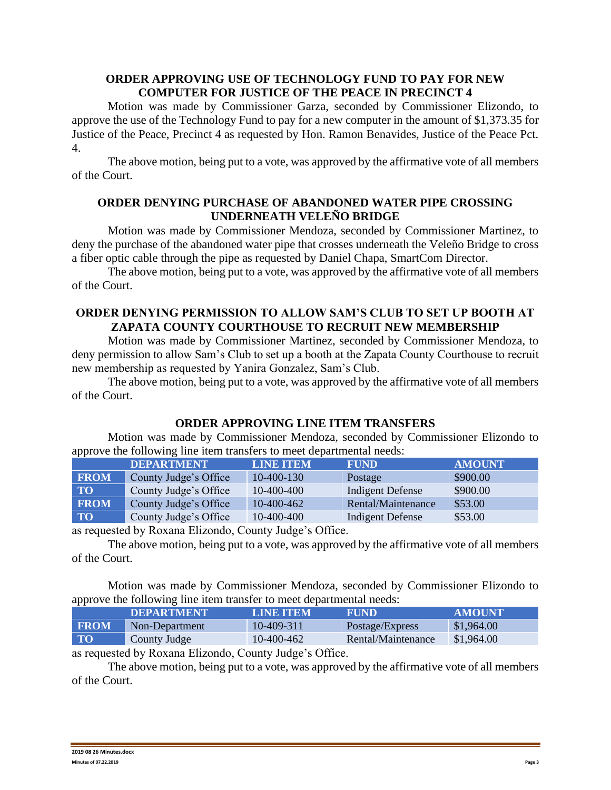# **ORDER APPROVING USE OF TECHNOLOGY FUND TO PAY FOR NEW COMPUTER FOR JUSTICE OF THE PEACE IN PRECINCT 4**

Motion was made by Commissioner Garza, seconded by Commissioner Elizondo, to approve the use of the Technology Fund to pay for a new computer in the amount of \$1,373.35 for Justice of the Peace, Precinct 4 as requested by Hon. Ramon Benavides, Justice of the Peace Pct. 4.

The above motion, being put to a vote, was approved by the affirmative vote of all members of the Court.

## **ORDER DENYING PURCHASE OF ABANDONED WATER PIPE CROSSING UNDERNEATH VELEÑO BRIDGE**

Motion was made by Commissioner Mendoza, seconded by Commissioner Martinez, to deny the purchase of the abandoned water pipe that crosses underneath the Veleño Bridge to cross a fiber optic cable through the pipe as requested by Daniel Chapa, SmartCom Director.

The above motion, being put to a vote, was approved by the affirmative vote of all members of the Court.

# **ORDER DENYING PERMISSION TO ALLOW SAM'S CLUB TO SET UP BOOTH AT ZAPATA COUNTY COURTHOUSE TO RECRUIT NEW MEMBERSHIP**

Motion was made by Commissioner Martinez, seconded by Commissioner Mendoza, to deny permission to allow Sam's Club to set up a booth at the Zapata County Courthouse to recruit new membership as requested by Yanira Gonzalez, Sam's Club.

The above motion, being put to a vote, was approved by the affirmative vote of all members of the Court.

# **ORDER APPROVING LINE ITEM TRANSFERS**

Motion was made by Commissioner Mendoza, seconded by Commissioner Elizondo to approve the following line item transfers to meet departmental needs:

|             | <b>DEPARTMENT</b>          | <b>LINE ITEM</b> | <b>FUND</b>             | <b>AMOUNT</b> |
|-------------|----------------------------|------------------|-------------------------|---------------|
| <b>FROM</b> | County Judge's Office      | 10-400-130       | Postage                 | \$900.00      |
| <b>TO</b>   | County Judge's Office      | 10-400-400       | Indigent Defense        | \$900.00      |
| <b>FROM</b> | County Judge's Office      | 10-400-462       | Rental/Maintenance      | \$53.00       |
| <b>TO</b>   | County Judge's Office      | 10-400-400       | <b>Indigent Defense</b> | \$53.00       |
|             | $\Gamma$ 1<br>$\cdot$ 11 m |                  |                         |               |

as requested by Roxana Elizondo, County Judge's Office.

The above motion, being put to a vote, was approved by the affirmative vote of all members of the Court.

Motion was made by Commissioner Mendoza, seconded by Commissioner Elizondo to approve the following line item transfer to meet departmental needs:

|             | <b>IDEPARTMENT!</b> | LINE ITEM  | <b>FUND</b>        | AMOUNT     |
|-------------|---------------------|------------|--------------------|------------|
| <b>FROM</b> | Non-Department      | 10-409-311 | Postage/Express    | \$1,964.00 |
| <b>TO</b>   | County Judge        | 10-400-462 | Rental/Maintenance | \$1,964.00 |

as requested by Roxana Elizondo, County Judge's Office.

The above motion, being put to a vote, was approved by the affirmative vote of all members of the Court.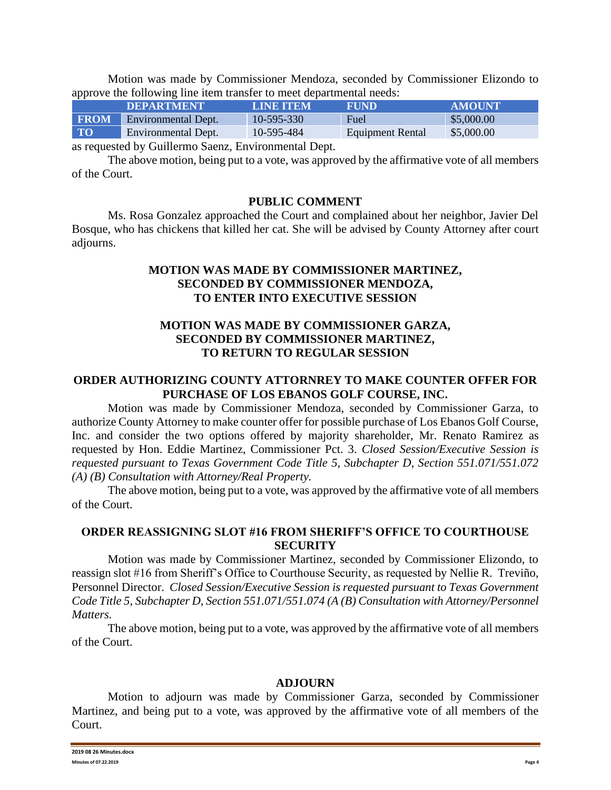Motion was made by Commissioner Mendoza, seconded by Commissioner Elizondo to approve the following line item transfer to meet departmental needs:

|             | <b>IDEPARTMENT</b>  | LINE ITEM  | <b>FUND</b>             | <b>AMOUNT</b> |
|-------------|---------------------|------------|-------------------------|---------------|
| <b>FROM</b> | Environmental Dept. | 10-595-330 | Fuel                    | \$5,000.00    |
| <b>TO</b>   | Environmental Dept. | 10-595-484 | <b>Equipment Rental</b> | \$5,000.00    |
|             |                     |            |                         |               |

as requested by Guillermo Saenz, Environmental Dept.

The above motion, being put to a vote, was approved by the affirmative vote of all members of the Court.

#### **PUBLIC COMMENT**

Ms. Rosa Gonzalez approached the Court and complained about her neighbor, Javier Del Bosque, who has chickens that killed her cat. She will be advised by County Attorney after court adjourns.

## **MOTION WAS MADE BY COMMISSIONER MARTINEZ, SECONDED BY COMMISSIONER MENDOZA, TO ENTER INTO EXECUTIVE SESSION**

# **MOTION WAS MADE BY COMMISSIONER GARZA, SECONDED BY COMMISSIONER MARTINEZ, TO RETURN TO REGULAR SESSION**

# **ORDER AUTHORIZING COUNTY ATTORNREY TO MAKE COUNTER OFFER FOR PURCHASE OF LOS EBANOS GOLF COURSE, INC.**

Motion was made by Commissioner Mendoza, seconded by Commissioner Garza, to authorize County Attorney to make counter offer for possible purchase of Los Ebanos Golf Course, Inc. and consider the two options offered by majority shareholder, Mr. Renato Ramirez as requested by Hon. Eddie Martinez, Commissioner Pct. 3. *Closed Session/Executive Session is requested pursuant to Texas Government Code Title 5, Subchapter D, Section 551.071/551.072 (A) (B) Consultation with Attorney/Real Property.*

The above motion, being put to a vote, was approved by the affirmative vote of all members of the Court.

# **ORDER REASSIGNING SLOT #16 FROM SHERIFF'S OFFICE TO COURTHOUSE SECURITY**

Motion was made by Commissioner Martinez, seconded by Commissioner Elizondo, to reassign slot #16 from Sheriff's Office to Courthouse Security, as requested by Nellie R. Treviño, Personnel Director. *Closed Session/Executive Session is requested pursuant to Texas Government Code Title 5, Subchapter D, Section 551.071/551.074 (A (B) Consultation with Attorney/Personnel Matters.*

The above motion, being put to a vote, was approved by the affirmative vote of all members of the Court.

### **ADJOURN**

Motion to adjourn was made by Commissioner Garza, seconded by Commissioner Martinez, and being put to a vote, was approved by the affirmative vote of all members of the Court.